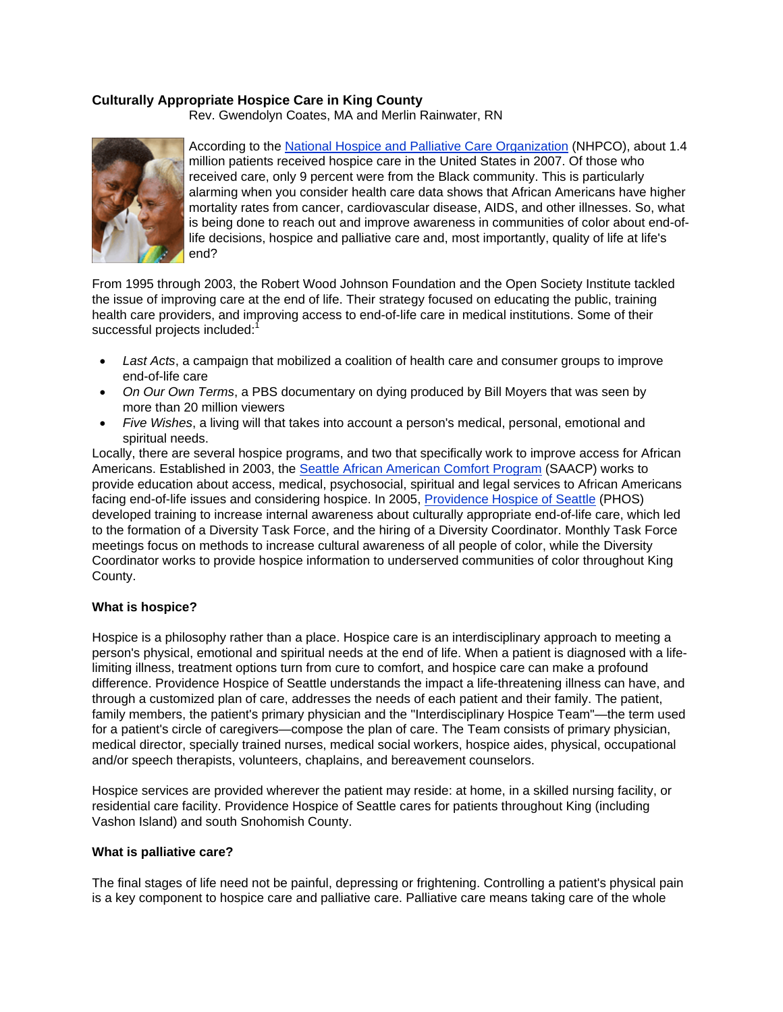## **Culturally Appropriate Hospice Care in King County**

Rev. Gwendolyn Coates, MA and Merlin Rainwater, RN



According to the National Hospice and Palliative Care Organization (NHPCO), about 1.4 million patients received hospice care in the United States in 2007. Of those who received care, only 9 percent were from the Black community. This is particularly alarming when you consider health care data shows that African Americans have higher mortality rates from cancer, cardiovascular disease, AIDS, and other illnesses. So, what is being done to reach out and improve awareness in communities of color about end-oflife decisions, hospice and palliative care and, most importantly, quality of life at life's end?

From 1995 through 2003, the Robert Wood Johnson Foundation and the Open Society Institute tackled the issue of improving care at the end of life. Their strategy focused on educating the public, training health care providers, and improving access to end-of-life care in medical institutions. Some of their successful projects included:<sup>1</sup>

- *Last Acts*, a campaign that mobilized a coalition of health care and consumer groups to improve end-of-life care
- *On Our Own Terms*, a PBS documentary on dying produced by Bill Moyers that was seen by more than 20 million viewers
- *Five Wishes*, a living will that takes into account a person's medical, personal, emotional and spiritual needs.

Locally, there are several hospice programs, and two that specifically work to improve access for African Americans. Established in 2003, the Seattle African American Comfort Program (SAACP) works to provide education about access, medical, psychosocial, spiritual and legal services to African Americans facing end-of-life issues and considering hospice. In 2005, Providence Hospice of Seattle (PHOS) developed training to increase internal awareness about culturally appropriate end-of-life care, which led to the formation of a Diversity Task Force, and the hiring of a Diversity Coordinator. Monthly Task Force meetings focus on methods to increase cultural awareness of all people of color, while the Diversity Coordinator works to provide hospice information to underserved communities of color throughout King County.

## **What is hospice?**

Hospice is a philosophy rather than a place. Hospice care is an interdisciplinary approach to meeting a person's physical, emotional and spiritual needs at the end of life. When a patient is diagnosed with a lifelimiting illness, treatment options turn from cure to comfort, and hospice care can make a profound difference. Providence Hospice of Seattle understands the impact a life-threatening illness can have, and through a customized plan of care, addresses the needs of each patient and their family. The patient, family members, the patient's primary physician and the "Interdisciplinary Hospice Team"—the term used for a patient's circle of caregivers—compose the plan of care. The Team consists of primary physician, medical director, specially trained nurses, medical social workers, hospice aides, physical, occupational and/or speech therapists, volunteers, chaplains, and bereavement counselors.

Hospice services are provided wherever the patient may reside: at home, in a skilled nursing facility, or residential care facility. Providence Hospice of Seattle cares for patients throughout King (including Vashon Island) and south Snohomish County.

## **What is palliative care?**

The final stages of life need not be painful, depressing or frightening. Controlling a patient's physical pain is a key component to hospice care and palliative care. Palliative care means taking care of the whole